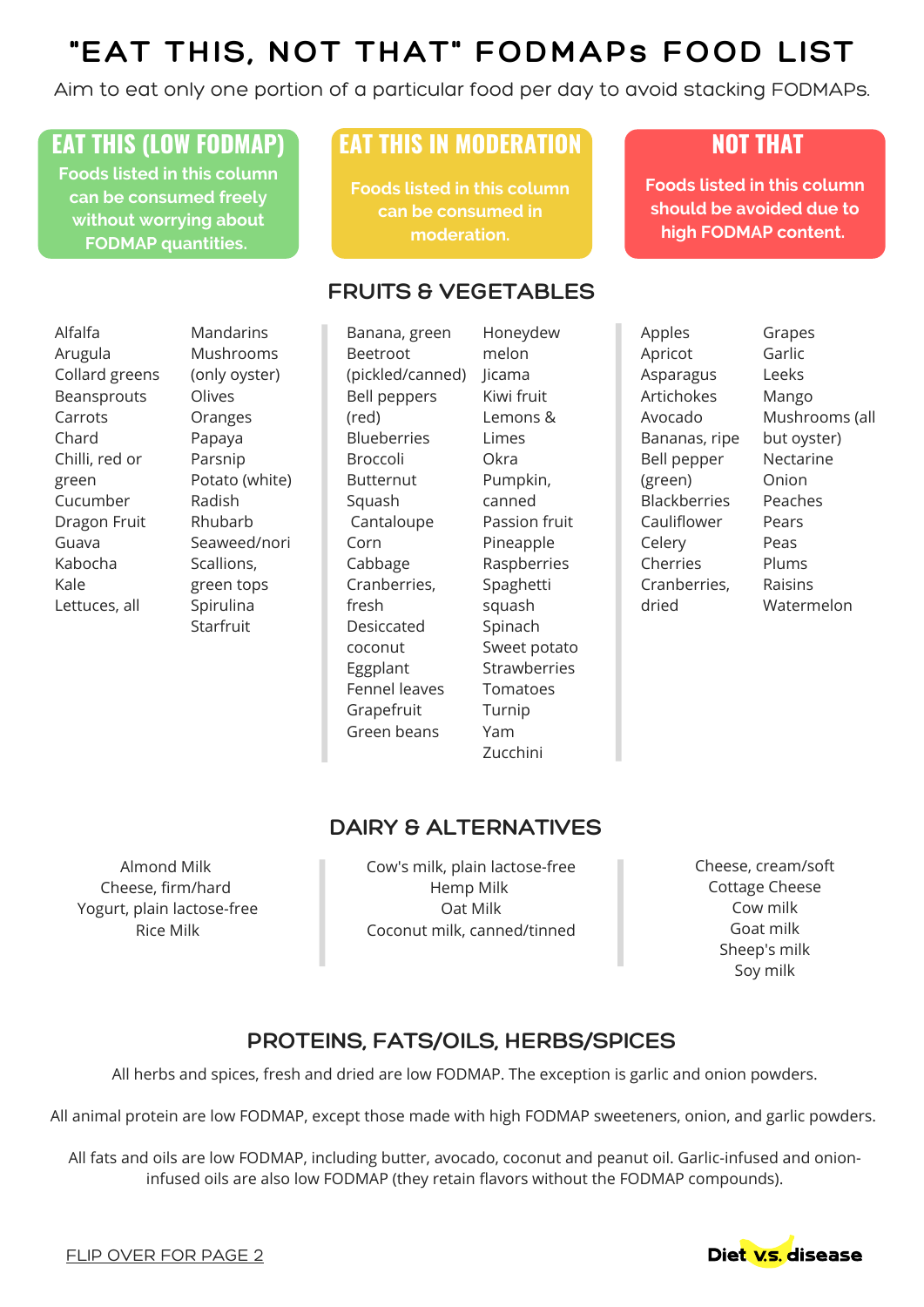# **"EAT THIS, NOT THAT" FODMAPs FOOD LIST**

Aim to eat only one portion of a particular food per day to avoid stacking FODMAPs.

## **EAT THIS (LOW FODMAP) EAT THIS IN MODERATION NOT THAT**

**Foods listed in this column can be consumed freely without worrying about FODMAP quantities.**

**Foods listed in this column can be consumed in moderation.**

### **FRUITS & VEGETABLES**

Alfalfa Arugula Collard greens Beansprouts Carrots Chard Chilli, red or green Cucumber Dragon Fruit Guava Kabocha Kale Lettuces, all

**Mandarins** Mushrooms (only oyster) Olives Oranges Papaya Parsnip Potato (white) Radish Rhubarb Seaweed/nori Scallions, green tops Spirulina Starfruit

Banana, green Beetroot (pickled/canned) Bell peppers (red) **Blueberries** Broccoli Butternut Squash Cantaloupe Corn Cabbage Cranberries, fresh Desiccated coconut Eggplant Fennel leaves Grapefruit Green beans

Honeydew melon Jicama Kiwi fruit Lemons & Limes **Okra** Pumpkin, canned Passion fruit Pineapple Raspberries Spaghetti squash Spinach Sweet potato **Strawberries** Tomatoes Turnip Yam Zucchini

Apricot Asparagus Artichokes Avocado Bananas, ripe Bell pepper (green) Blackberries Cauliflower Celery Cherries Cranberries, dried

Apples

Grapes Garlic Leeks Mango Mushrooms (all but oyster) Nectarine Onion Peaches Pears Peas Plums Raisins Watermelon

**Foods listed in this column should be avoided due to high FODMAP content.**

# **DAIRY & ALTERNATIVES**

Cheese, firm/hard Almond Milk Yogurt, plain lactose-free Rice Milk

Cow's milk, plain lactose-free Hemp Milk Oat Milk Coconut milk, canned/tinned Cheese, cream/soft Cottage Cheese Cow milk Goat milk Sheep's milk Soy milk

## **PROTEINS, FATS/OILS, HERBS/SPICES**

All herbs and spices, fresh and dried are low FODMAP. The exception is garlic and onion powders.

All animal protein are low FODMAP, except those made with high FODMAP sweeteners, onion, and garlic powders.

All fats and oils are low FODMAP, including butter, avocado, coconut and peanut oil. Garlic-infused and onioninfused oils are also low FODMAP (they retain flavors without the FODMAP compounds).